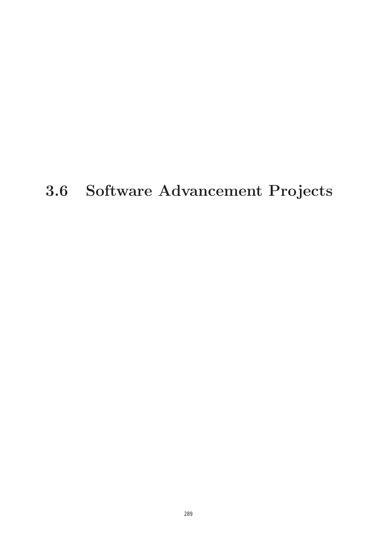# **3.6 Software Advancement Projects**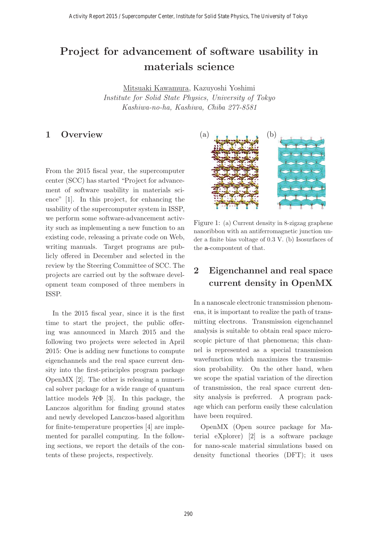## **Project for advancement of software usability in materials science**

Institute for Solid State Physics, University of Tokyo Kashiwa-no-ha, Kashiwa, Chiba 277-8581

#### **1 Overview**

From the 2015 fiscal year, the supercomputer center (SCC) has started "Project for advancement of software usability in materials science" [1]. In this project, for enhancing the usability of the supercomputer system in ISSP, we perform some software-advancement activity such as implementing a new function to an existing code, releasing a private code on Web, writing manuals. Target programs are publicly offered in December and selected in the review by the Steering Committee of SCC. The projects are carried out by the software development team composed of three members in ISSP.

In the 2015 fiscal year, since it is the first time to start the project, the public offering was announced in March 2015 and the following two projects were selected in April 2015: One is adding new functions to compute eigenchannels and the real space current density into the first-principles program package OpenMX [2]. The other is releasing a numerical solver package for a wide range of quantum lattice models  $H\Phi$  [3]. In this package, the Lanczos algorithm for finding ground states and newly developed Lanczos-based algorithm for finite-temperature properties [4] are implemented for parallel computing. In the following sections, we report the details of the contents of these projects, respectively.



Figure 1: (a) Current density in 8-zigzag graphene nanoribbon with an antiferromagnetic junction under a finite bias voltage of 0.3 V. (b) Isosurfaces of the **a**-compontent of that.

### **2 Eigenchannel and real space current density in OpenMX**

In a nanoscale electronic transmission phenomena, it is important to realize the path of transmitting electrons. Transmission eigenchannel analysis is suitable to obtain real space microscopic picture of that phenomena; this channel is represented as a special transmission wavefunction which maximizes the transmission probability. On the other hand, when we scope the spatial variation of the direction of transmission, the real space current density analysis is preferred. A program package which can perform easily these calculation have been required.

OpenMX (Open source package for Material eXplorer) [2] is a software package for nano-scale material simulations based on density functional theories (DFT); it uses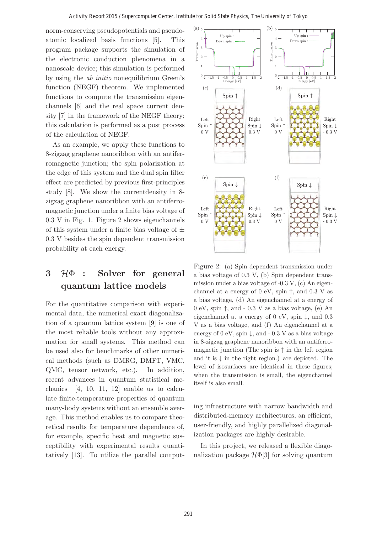norm-conserving pseudopotentials and pseudoatomic localized basis functions [5]. This program package supports the simulation of the electronic conduction phenomena in a nanoscale device; this simulation is performed by using the ab initio nonequilibrium Green's function (NEGF) theorem. We implemented functions to compute the transmission eigenchannels [6] and the real space current density [7] in the framework of the NEGF theory; this calculation is performed as a post process of the calculation of NEGF.

As an example, we apply these functions to 8-zigzag graphene nanoribbon with an antiferromagnetic junction; the spin polarization at the edge of this system and the dual spin filter effect are predicted by previous first-principles study [8]. We show the currentdensity in 8 zigzag graphene nanoribbon with an antiferromagnetic junction under a finite bias voltage of 0.3 V in Fig. 1. Figure 2 shows eigenchannels of this system under a finite bias voltage of  $\pm$ 0.3 V besides the spin dependent transmission probability at each energy.

## **<sup>3</sup>** <sup>H</sup>Φ **: Solver for general quantum lattice models**

For the quantitative comparison with experimental data, the numerical exact diagonalization of a quantum lattice system [9] is one of the most reliable tools without any approximation for small systems. This method can be used also for benchmarks of other numerical methods (such as DMRG, DMFT, VMC, QMC, tensor network, etc.). In addition, recent advances in quantum statistical mechanics  $[4, 10, 11, 12]$  enable us to calculate finite-temperature properties of quantum many-body systems without an ensemble average. This method enables us to compare theoretical results for temperature dependence of, for example, specific heat and magnetic susceptibility with experimental results quantitatively [13]. To utilize the parallel comput-



Figure 2: (a) Spin dependent transmission under a bias voltage of 0.3 V, (b) Spin dependent transmission under a bias voltage of -0.3 V, (c) An eigenchannel at a energy of  $0 \text{ eV}$ , spin  $\uparrow$ , and  $0.3 \text{ V}$  as a bias voltage, (d) An eigenchannel at a energy of 0 eV, spin  $\uparrow$ , and - 0.3 V as a bias voltage, (e) An eigenchannel at a energy of 0 eV, spin  $\downarrow$ , and 0.3 V as a bias voltage, and (f) An eigenchannel at a energy of  $0 \text{ eV}$ , spin  $\downarrow$ , and  $-0.3 \text{ V}$  as a bias voltage in 8-zigzag graphene nanoribbon with an antiferromagnetic junction (The spin is  $\uparrow$  in the left region and it is  $\downarrow$  in the right region.) are depicted. The level of isosurfaces are identical in these figures; when the transmission is small, the eigenchannel itself is also small.

ing infrastructure with narrow bandwidth and distributed-memory architectures, an efficient, user-friendly, and highly parallelized diagonalization packages are highly desirable.

In this project, we released a flexible diagonalization package  $\mathcal{H}\Phi[3]$  for solving quantum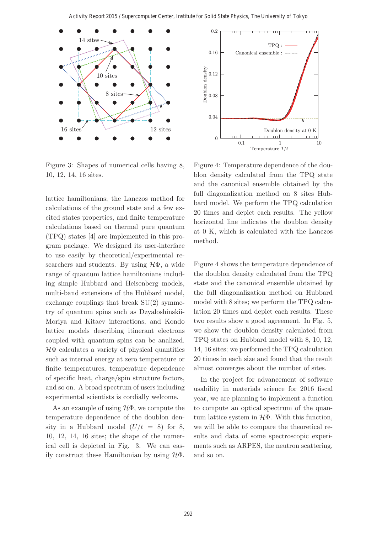

Figure 3: Shapes of numerical cells having 8, 10, 12, 14, 16 sites.

lattice hamiltonians; the Lanczos method for calculations of the ground state and a few excited states properties, and finite temperature calculations based on thermal pure quantum (TPQ) states [4] are implemented in this program package. We designed its user-interface to use easily by theoretical/experimental researchers and students. By using  $H\Phi$ , a wide range of quantum lattice hamiltonians including simple Hubbard and Heisenberg models, multi-band extensions of the Hubbard model, exchange couplings that break SU(2) symmetry of quantum spins such as Dzyaloshinskii-Moriya and Kitaev interactions, and Kondo lattice models describing itinerant electrons coupled with quantum spins can be analized.  $H\Phi$  calculates a variety of physical quantities such as internal energy at zero temperature or finite temperatures, temperature dependence of specific heat, charge/spin structure factors, and so on. A broad spectrum of users including experimental scientists is cordially welcome.

As an example of using  $H\Phi$ , we compute the temperature dependence of the doublon density in a Hubbard model  $(U/t = 8)$  for 8, 10, 12, 14, 16 sites; the shape of the numerical cell is depicted in Fig. 3. We can easily construct these Hamiltonian by using  $\mathcal{H}\Phi$ .



Figure 4 shows the temperature dependence of the doublon density calculated from the TPQ state and the canonical ensemble obtained by the full diagonalization method on Hubbard model with 8 sites; we perform the TPQ calculation 20 times and depict each results. These two results show a good agreement. In Fig. 5, we show the doublon density calculated from TPQ states on Hubbard model with 8, 10, 12, 14, 16 sites; we performed the TPQ calculation 20 times in each size and found that the result almost converges about the number of sites.

In the project for advancement of software usability in materials science for 2016 fiscal year, we are planning to implement a function to compute an optical spectrum of the quantum lattice system in  $H\Phi$ . With this function, we will be able to compare the theoretical results and data of some spectroscopic experiments such as ARPES, the neutron scattering, and so on.